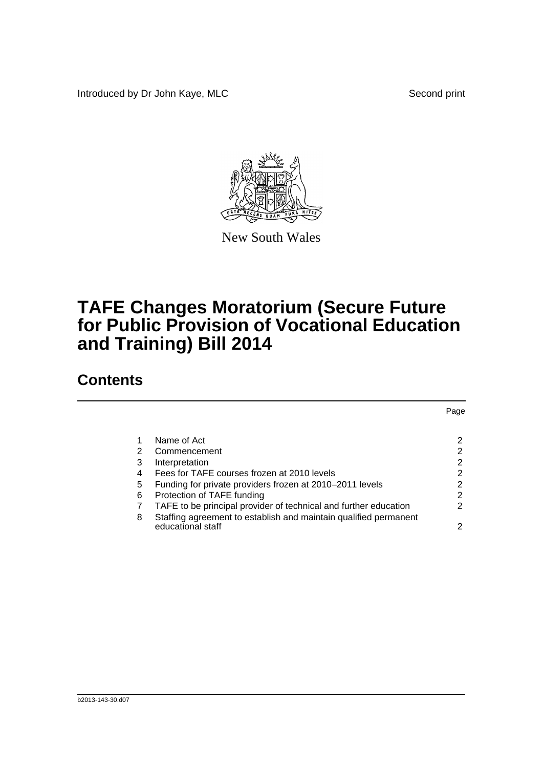Introduced by Dr John Kaye, MLC Second print



New South Wales

## **TAFE Changes Moratorium (Secure Future for Public Provision of Vocational Education and Training) Bill 2014**

## **Contents**

|   |                                                                  | Page |
|---|------------------------------------------------------------------|------|
|   |                                                                  |      |
| 1 | Name of Act                                                      | 2    |
| 2 | Commencement                                                     | 2    |
| 3 | Interpretation                                                   | 2    |
| 4 | Fees for TAFE courses frozen at 2010 levels                      | 2    |
| 5 | Funding for private providers frozen at 2010-2011 levels         | 2    |
| 6 | Protection of TAFE funding                                       | 2    |
|   | TAFE to be principal provider of technical and further education | 2    |
| 8 | Staffing agreement to establish and maintain qualified permanent |      |
|   | educational staff                                                | 2    |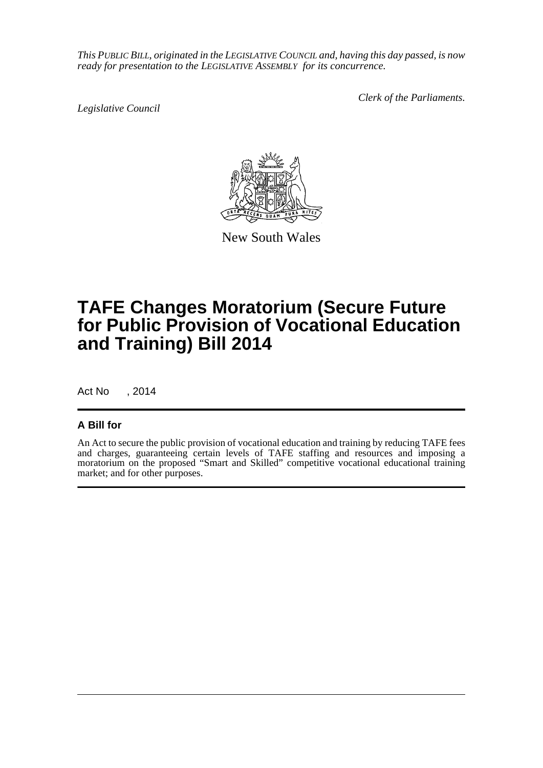*This PUBLIC BILL, originated in the LEGISLATIVE COUNCIL and, having this day passed, is now ready for presentation to the LEGISLATIVE ASSEMBLY for its concurrence.*

*Legislative Council*

*Clerk of the Parliaments.*



New South Wales

## **TAFE Changes Moratorium (Secure Future for Public Provision of Vocational Education and Training) Bill 2014**

Act No , 2014

## **A Bill for**

An Act to secure the public provision of vocational education and training by reducing TAFE fees and charges, guaranteeing certain levels of TAFE staffing and resources and imposing a moratorium on the proposed "Smart and Skilled" competitive vocational educational training market; and for other purposes.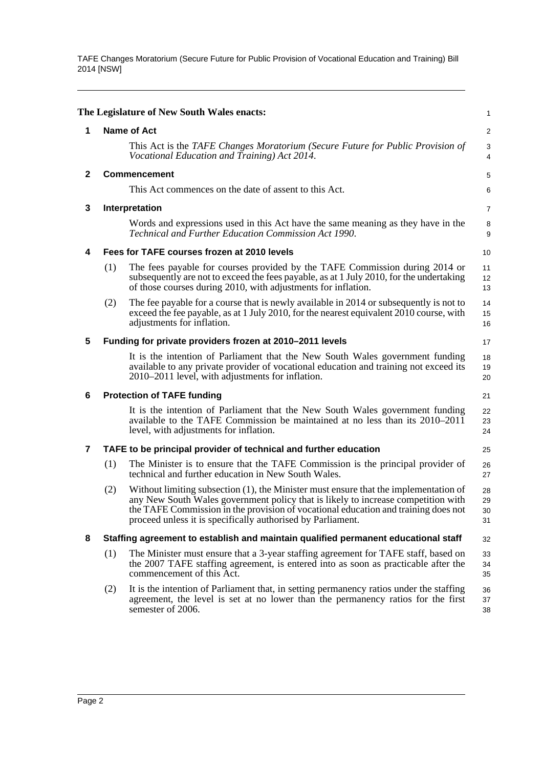TAFE Changes Moratorium (Secure Future for Public Provision of Vocational Education and Training) Bill 2014 [NSW]

<span id="page-2-7"></span><span id="page-2-6"></span><span id="page-2-5"></span><span id="page-2-4"></span><span id="page-2-3"></span><span id="page-2-2"></span><span id="page-2-1"></span><span id="page-2-0"></span>

|              |                    | The Legislature of New South Wales enacts:                                                                                                                                                                                                                                                                                     | 1                            |  |
|--------------|--------------------|--------------------------------------------------------------------------------------------------------------------------------------------------------------------------------------------------------------------------------------------------------------------------------------------------------------------------------|------------------------------|--|
| 1            | <b>Name of Act</b> |                                                                                                                                                                                                                                                                                                                                |                              |  |
|              |                    | This Act is the TAFE Changes Moratorium (Secure Future for Public Provision of<br>Vocational Education and Training) Act 2014.                                                                                                                                                                                                 | $\sqrt{3}$<br>$\overline{4}$ |  |
| $\mathbf{2}$ |                    | <b>Commencement</b>                                                                                                                                                                                                                                                                                                            |                              |  |
|              |                    | This Act commences on the date of assent to this Act.                                                                                                                                                                                                                                                                          | 6                            |  |
| 3            |                    | Interpretation                                                                                                                                                                                                                                                                                                                 | 7                            |  |
|              |                    | Words and expressions used in this Act have the same meaning as they have in the<br>Technical and Further Education Commission Act 1990.                                                                                                                                                                                       | 8<br>9                       |  |
| 4            |                    | Fees for TAFE courses frozen at 2010 levels                                                                                                                                                                                                                                                                                    | 10                           |  |
|              | (1)                | The fees payable for courses provided by the TAFE Commission during 2014 or<br>subsequently are not to exceed the fees payable, as at 1 July 2010, for the undertaking<br>of those courses during 2010, with adjustments for inflation.                                                                                        | 11<br>12<br>13               |  |
|              | (2)                | The fee payable for a course that is newly available in 2014 or subsequently is not to<br>exceed the fee payable, as at 1 July 2010, for the nearest equivalent 2010 course, with<br>adjustments for inflation.                                                                                                                | 14<br>15<br>16               |  |
| 5            |                    | Funding for private providers frozen at 2010-2011 levels                                                                                                                                                                                                                                                                       | 17                           |  |
|              |                    | It is the intention of Parliament that the New South Wales government funding<br>available to any private provider of vocational education and training not exceed its<br>2010–2011 level, with adjustments for inflation.                                                                                                     | 18<br>19<br>20               |  |
| 6            |                    | <b>Protection of TAFE funding</b>                                                                                                                                                                                                                                                                                              | 21                           |  |
|              |                    | It is the intention of Parliament that the New South Wales government funding<br>available to the TAFE Commission be maintained at no less than its 2010–2011<br>level, with adjustments for inflation.                                                                                                                        | 22<br>23<br>24               |  |
| 7            |                    | TAFE to be principal provider of technical and further education                                                                                                                                                                                                                                                               | 25                           |  |
|              | (1)                | The Minister is to ensure that the TAFE Commission is the principal provider of<br>technical and further education in New South Wales.                                                                                                                                                                                         | 26<br>27                     |  |
|              | (2)                | Without limiting subsection (1), the Minister must ensure that the implementation of<br>any New South Wales government policy that is likely to increase competition with<br>the TAFE Commission in the provision of vocational education and training does not<br>proceed unless it is specifically authorised by Parliament. | 28<br>29<br>30<br>31         |  |
| 8            |                    | Staffing agreement to establish and maintain qualified permanent educational staff                                                                                                                                                                                                                                             | 32                           |  |
|              | (1)                | The Minister must ensure that a 3-year staffing agreement for TAFE staff, based on<br>the 2007 TAFE staffing agreement, is entered into as soon as practicable after the<br>commencement of this Act.                                                                                                                          | 33<br>34<br>35               |  |
|              | (2)                | It is the intention of Parliament that, in setting permanency ratios under the staffing<br>agreement, the level is set at no lower than the permanency ratios for the first<br>semester of 2006.                                                                                                                               | 36<br>37<br>38               |  |
|              |                    |                                                                                                                                                                                                                                                                                                                                |                              |  |